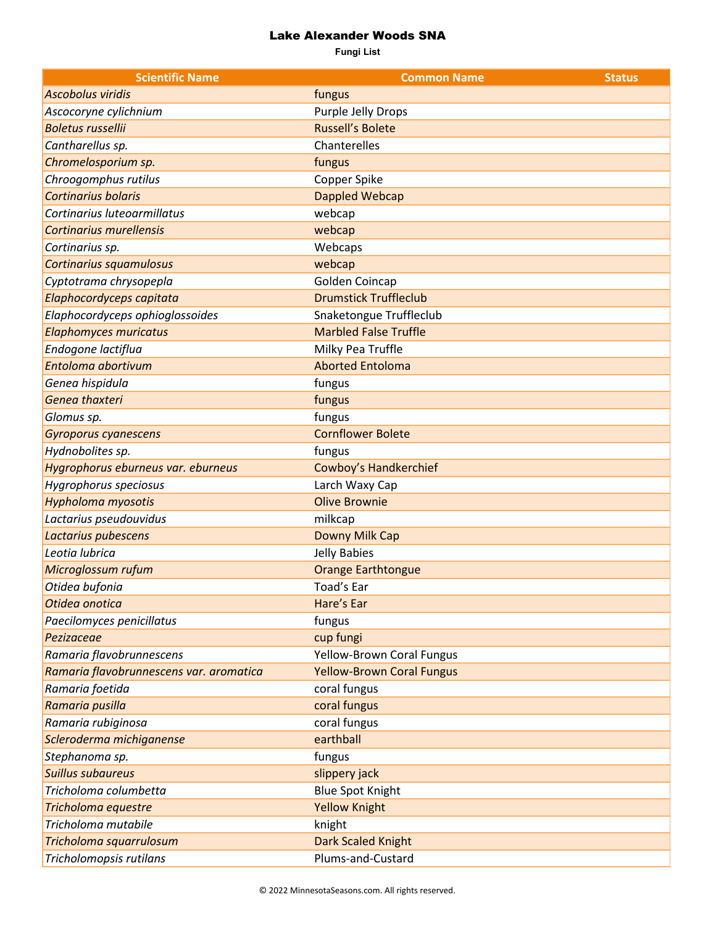## Lake Alexander Woods SNA

**Fungi List**

| <b>Scientific Name</b>                  | <b>Common Name</b>               | <b>Status</b> |
|-----------------------------------------|----------------------------------|---------------|
| <b>Ascobolus viridis</b>                | fungus                           |               |
| Ascocoryne cylichnium                   | Purple Jelly Drops               |               |
| <b>Boletus russellii</b>                | <b>Russell's Bolete</b>          |               |
| Cantharellus sp.                        | Chanterelles                     |               |
| Chromelosporium sp.                     | fungus                           |               |
| Chroogomphus rutilus                    | Copper Spike                     |               |
| Cortinarius bolaris                     | Dappled Webcap                   |               |
| Cortinarius luteoarmillatus             | webcap                           |               |
| <b>Cortinarius murellensis</b>          | webcap                           |               |
| Cortinarius sp.                         | Webcaps                          |               |
| Cortinarius squamulosus                 | webcap                           |               |
| Cyptotrama chrysopepla                  | Golden Coincap                   |               |
| Elaphocordyceps capitata                | <b>Drumstick Truffleclub</b>     |               |
| Elaphocordyceps ophioglossoides         | Snaketongue Truffleclub          |               |
| <b>Elaphomyces muricatus</b>            | <b>Marbled False Truffle</b>     |               |
| Endogone lactiflua                      | Milky Pea Truffle                |               |
| Entoloma abortivum                      | <b>Aborted Entoloma</b>          |               |
| Genea hispidula                         | fungus                           |               |
| Genea thaxteri                          | fungus                           |               |
| Glomus sp.                              | fungus                           |               |
| Gyroporus cyanescens                    | <b>Cornflower Bolete</b>         |               |
| Hydnobolites sp.                        | fungus                           |               |
| Hygrophorus eburneus var. eburneus      | <b>Cowboy's Handkerchief</b>     |               |
| Hygrophorus speciosus                   | Larch Waxy Cap                   |               |
| Hypholoma myosotis                      | <b>Olive Brownie</b>             |               |
| Lactarius pseudouvidus                  | milkcap                          |               |
| Lactarius pubescens                     | Downy Milk Cap                   |               |
| Leotia lubrica                          | Jelly Babies                     |               |
| Microglossum rufum                      | <b>Orange Earthtongue</b>        |               |
| Otidea bufonia                          | Toad's Ear                       |               |
| Otidea onotica                          | Hare's Ear                       |               |
| Paecilomyces penicillatus               | fungus                           |               |
| Pezizaceae                              | cup fungi                        |               |
| Ramaria flavobrunnescens                | <b>Yellow-Brown Coral Fungus</b> |               |
| Ramaria flavobrunnescens var. aromatica | <b>Yellow-Brown Coral Fungus</b> |               |
| Ramaria foetida                         | coral fungus                     |               |
| Ramaria pusilla                         | coral fungus                     |               |
| Ramaria rubiginosa                      | coral fungus                     |               |
| Scleroderma michiganense                | earthball                        |               |
| Stephanoma sp.                          | fungus                           |               |
| <b>Suillus subaureus</b>                | slippery jack                    |               |
| Tricholoma columbetta                   | <b>Blue Spot Knight</b>          |               |
| Tricholoma equestre                     | <b>Yellow Knight</b>             |               |
| Tricholoma mutabile                     | knight                           |               |
| Tricholoma squarrulosum                 | <b>Dark Scaled Knight</b>        |               |
| Tricholomopsis rutilans                 | Plums-and-Custard                |               |